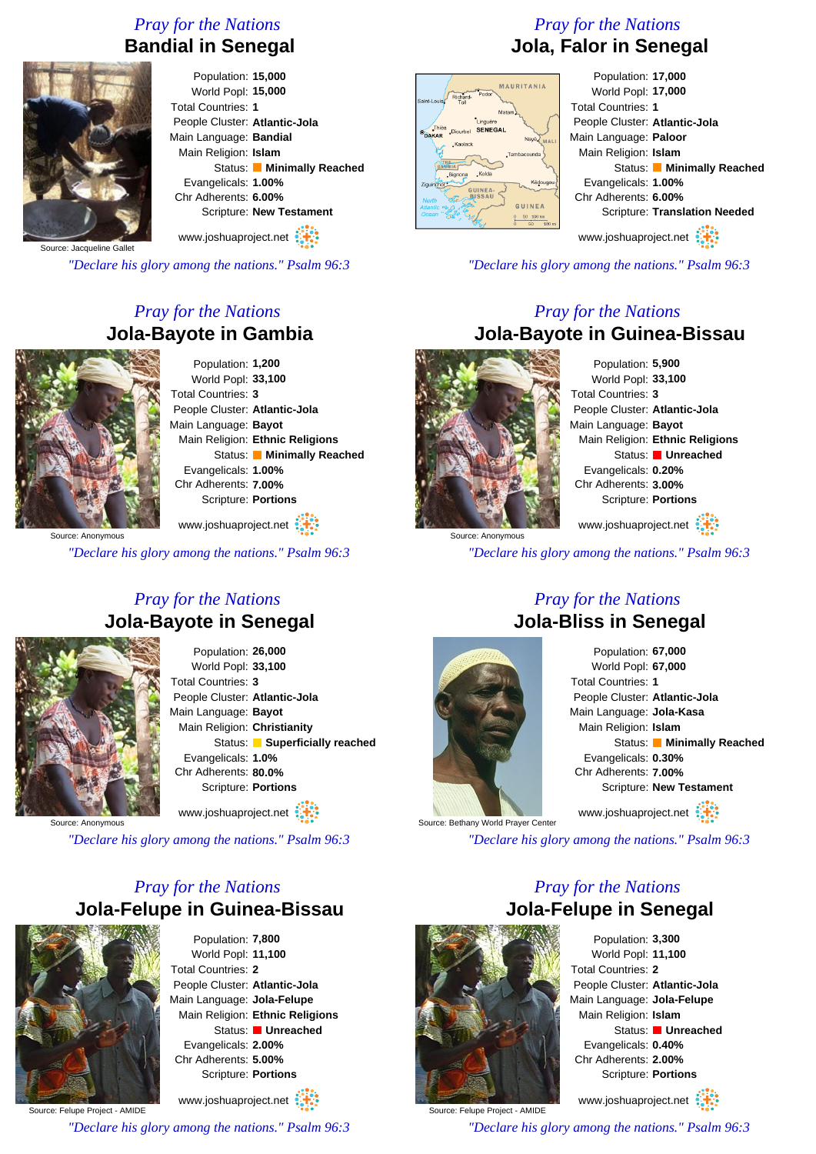# *Pray for the Nations* **Bandial in Senegal**



Population: **15,000** World Popl: **15,000** Total Countries: **1** People Cluster: **Atlantic-Jola** Main Language: **Bandial** Main Religion: **Islam** Status: **Minimally Reached** Evangelicals: **1.00%** Chr Adherents: **6.00%** Scripture: **New Testament** www.joshuaproject.net

Source: Jacqueline Gallet

*"Declare his glory among the nations." Psalm 96:3*

# *Pray for the Nations* **Jola-Bayote in Gambia**



Population: **1,200** World Popl: **33,100** Total Countries: **3** People Cluster: **Atlantic-Jola** Main Language: **Bayot** Main Religion: **Ethnic Religions** Status: **Minimally Reached** Evangelicals: **1.00%** Chr Adherents: **7.00%** Scripture: **Portions**

www.joshuaproject.net

*"Declare his glory among the nations." Psalm 96:3*

#### *Pray for the Nations* **Jola-Bayote in Senegal**



Population: **26,000** World Popl: **33,100** Total Countries: **3** People Cluster: **Atlantic-Jola** Main Language: **Bayot** Main Religion: **Christianity** Status: **Superficially reached** Evangelicals: **1.0%** Chr Adherents: **80.0%** Scripture: **Portions** www.joshuaproject.net

Source: Anonymous

*"Declare his glory among the nations." Psalm 96:3*

# *Pray for the Nations* **Jola-Felupe in Guinea-Bissau**



Population: **7,800** World Popl: **11,100** Total Countries: **2** People Cluster: **Atlantic-Jola** Main Language: **Jola-Felupe** Main Religion: **Ethnic Religions** Status: **Unreached** Evangelicals: **2.00%** Chr Adherents: **5.00%** Scripture: **Portions**

Source: Felupe Project - AMIDE www.joshuaproject.net *"Declare his glory among the nations." Psalm 96:3*

# *Pray for the Nations* **Jola, Falor in Senegal**



Population: **17,000** World Popl: **17,000** Total Countries: **1** People Cluster: **Atlantic-Jola** Main Language: **Paloor** Main Religion: **Islam** Status: **Minimally Reached** Evangelicals: **1.00%** Chr Adherents: **6.00%** Scripture: **Translation Needed**

www.joshuaproject.net

*"Declare his glory among the nations." Psalm 96:3*

#### *Pray for the Nations* **Jola-Bayote in Guinea-Bissau**



Source: Anonymous

Population: **5,900** World Popl: **33,100** Total Countries: **3** People Cluster: **Atlantic-Jola** Main Language: **Bayot** Main Religion: **Ethnic Religions** Status: **Unreached** Evangelicals: **0.20%** Chr Adherents: **3.00%** Scripture: **Portions** www.joshuaproject.net

*"Declare his glory among the nations." Psalm 96:3*

#### *Pray for the Nations* **Jola-Bliss in Senegal**



Population: **67,000** World Popl: **67,000** Total Countries: **1** People Cluster: **Atlantic-Jola** Main Language: **Jola-Kasa** Main Religion: **Islam** Status: **Minimally Reached** Evangelicals: **0.30%** Chr Adherents: **7.00%** Scripture: **New Testament** www.joshuaproject.net

Source: Bethany World Prayer Center

*"Declare his glory among the nations." Psalm 96:3*

*Pray for the Nations*



Population: **3,300** World Popl: **11,100** Total Countries: **2** People Cluster: **Atlantic-Jola** Main Language: **Jola-Felupe** Main Religion: **Islam** Status: **Unreached** Evangelicals: **0.40%** Chr Adherents: **2.00%** Scripture: **Portions**

www.joshuaproject.net

*"Declare his glory among the nations." Psalm 96:3*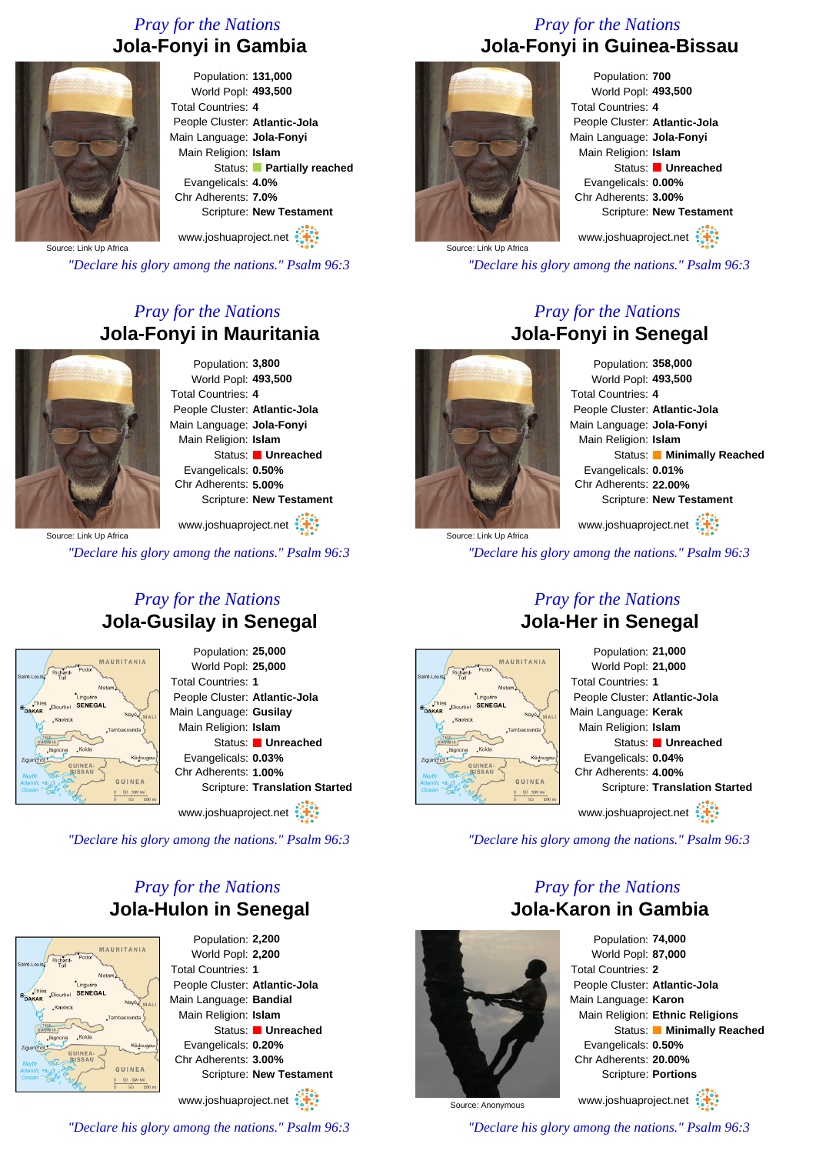# *Pray for the Nations* **Jola-Fonyi in Gambia**



Population: **131,000** World Popl: **493,500** Total Countries: **4** People Cluster: **Atlantic-Jola** Main Language: **Jola-Fonyi** Main Religion: **Islam** Status: **Partially reached** Evangelicals: **4.0%** Chr Adherents: **7.0%** Scripture: **New Testament**

www.joshuaproject.net

Source: Link Up Africa

*"Declare his glory among the nations." Psalm 96:3*

### *Pray for the Nations* **Jola-Fonyi in Mauritania**



Population: **3,800** World Popl: **493,500** Total Countries: **4** People Cluster: **Atlantic-Jola** Main Language: **Jola-Fonyi** Main Religion: **Islam** Status: **Unreached** Evangelicals: **0.50%** Chr Adherents: **5.00%** Scripture: **New Testament**

www.joshuaproject.net

*"Declare his glory among the nations." Psalm 96:3*

#### *Pray for the Nations* **Jola-Gusilay in Senegal**



Population: **25,000** World Popl: **25,000** Total Countries: **1** People Cluster: **Atlantic-Jola** Main Language: **Gusilay** Main Religion: **Islam** Status: **Unreached** Evangelicals: **0.03%** Chr Adherents: **1.00%** Scripture: **Translation Started**

www.joshuaproject.net :

*"Declare his glory among the nations." Psalm 96:3*

#### *Pray for the Nations* **Jola-Hulon in Senegal**



Population: **2,200** World Popl: **2,200** Total Countries: **1** People Cluster: **Atlantic-Jola** Main Language: **Bandial** Main Religion: **Islam** Status: **Unreached** Evangelicals: **0.20%** Chr Adherents: **3.00%** Scripture: **New Testament**

www.joshuaproject.net

*"Declare his glory among the nations." Psalm 96:3*

# *Pray for the Nations* **Jola-Fonyi in Guinea-Bissau**



Population: **700** World Popl: **493,500** Total Countries: **4** People Cluster: **Atlantic-Jola** Main Language: **Jola-Fonyi** Main Religion: **Islam** Status: **Unreached** Evangelicals: **0.00%** Chr Adherents: **3.00%** Scripture: **New Testament** www.joshuaproject.net

Source: Link Up Africa

*"Declare his glory among the nations." Psalm 96:3*

#### *Pray for the Nations* **Jola-Fonyi in Senegal**

Population: **358,000** World Popl: **493,500** Total Countries: **4** People Cluster: **Atlantic-Jola** Main Language: **Jola-Fonyi** Main Religion: **Islam** Status: **Minimally Reached** Evangelicals: **0.01%** Chr Adherents: **22.00%** Scripture: **New Testament**

www.joshuaproject.net

*"Declare his glory among the nations." Psalm 96:3*

# **Jola-Her in Senegal**



Population: **21,000** World Popl: **21,000** Total Countries: **1** People Cluster: **Atlantic-Jola** Main Language: **Kerak** Main Religion: **Islam** Status: **Unreached** Evangelicals: **0.04%** Chr Adherents: **4.00%** Scripture: **Translation Started** www.joshuaproject.net

*"Declare his glory among the nations." Psalm 96:3*

#### *Pray for the Nations* **Jola-Karon in Gambia**



Population: **74,000** World Popl: **87,000** Total Countries: **2** People Cluster: **Atlantic-Jola** Main Language: **Karon** Main Religion: **Ethnic Religions** Status: **Minimally Reached** Evangelicals: **0.50%** Chr Adherents: **20.00%** Scripture: **Portions**

www.joshuaproject.net

Source: Anonymous

*"Declare his glory among the nations." Psalm 96:3*



*Pray for the Nations*